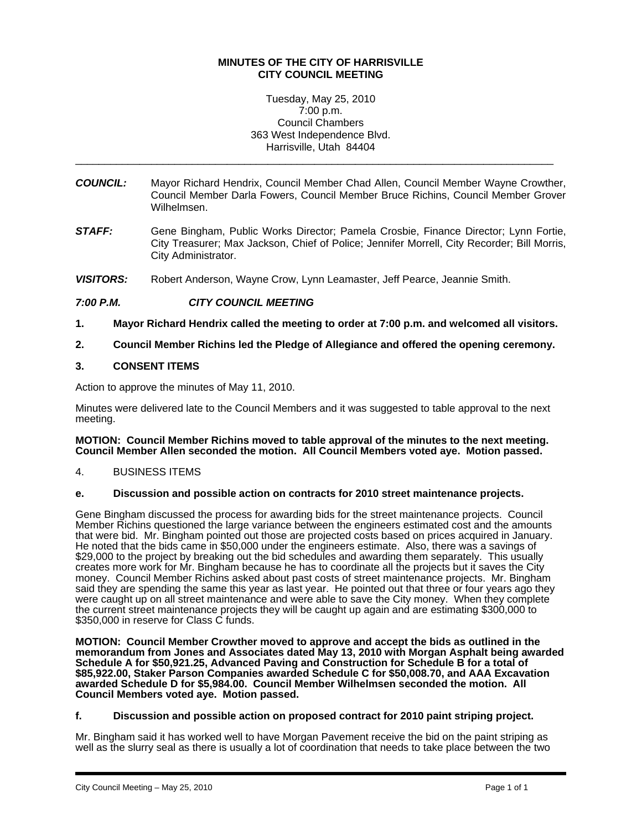## **MINUTES OF THE CITY OF HARRISVILLE CITY COUNCIL MEETING**

Tuesday, May 25, 2010 7:00 p.m. Council Chambers 363 West Independence Blvd. Harrisville, Utah 84404

\_\_\_\_\_\_\_\_\_\_\_\_\_\_\_\_\_\_\_\_\_\_\_\_\_\_\_\_\_\_\_\_\_\_\_\_\_\_\_\_\_\_\_\_\_\_\_\_\_\_\_\_\_\_\_\_\_\_\_\_\_\_\_\_\_\_\_\_\_\_\_\_\_\_\_\_\_\_\_\_\_\_

- *COUNCIL:* Mayor Richard Hendrix, Council Member Chad Allen, Council Member Wayne Crowther, Council Member Darla Fowers, Council Member Bruce Richins, Council Member Grover Wilhelmsen.
- *STAFF:* Gene Bingham, Public Works Director; Pamela Crosbie, Finance Director; Lynn Fortie, City Treasurer; Max Jackson, Chief of Police; Jennifer Morrell, City Recorder; Bill Morris, City Administrator.
- *VISITORS:* Robert Anderson, Wayne Crow, Lynn Leamaster, Jeff Pearce, Jeannie Smith.

# *7:00 P.M. CITY COUNCIL MEETING*

- **1. Mayor Richard Hendrix called the meeting to order at 7:00 p.m. and welcomed all visitors.**
- **2. Council Member Richins led the Pledge of Allegiance and offered the opening ceremony.**

## **3. CONSENT ITEMS**

Action to approve the minutes of May 11, 2010.

Minutes were delivered late to the Council Members and it was suggested to table approval to the next meeting.

### **MOTION: Council Member Richins moved to table approval of the minutes to the next meeting. Council Member Allen seconded the motion. All Council Members voted aye. Motion passed.**

4. BUSINESS ITEMS

### **e. Discussion and possible action on contracts for 2010 street maintenance projects.**

Gene Bingham discussed the process for awarding bids for the street maintenance projects. Council Member Richins questioned the large variance between the engineers estimated cost and the amounts that were bid. Mr. Bingham pointed out those are projected costs based on prices acquired in January. He noted that the bids came in \$50,000 under the engineers estimate. Also, there was a savings of \$29,000 to the project by breaking out the bid schedules and awarding them separately. This usually creates more work for Mr. Bingham because he has to coordinate all the projects but it saves the City money. Council Member Richins asked about past costs of street maintenance projects. Mr. Bingham said they are spending the same this year as last year. He pointed out that three or four years ago they were caught up on all street maintenance and were able to save the City money. When they complete the current street maintenance projects they will be caught up again and are estimating \$300,000 to \$350,000 in reserve for Class C funds.

**MOTION: Council Member Crowther moved to approve and accept the bids as outlined in the memorandum from Jones and Associates dated May 13, 2010 with Morgan Asphalt being awarded**  Schedule A for \$50,921.25, Advanced Paving and Construction for Schedule B for a total of **\$85,922.00, Staker Parson Companies awarded Schedule C for \$50,008.70, and AAA Excavation awarded Schedule D for \$5,984.00. Council Member Wilhelmsen seconded the motion. All Council Members voted aye. Motion passed.** 

### **f. Discussion and possible action on proposed contract for 2010 paint striping project.**

Mr. Bingham said it has worked well to have Morgan Pavement receive the bid on the paint striping as well as the slurry seal as there is usually a lot of coordination that needs to take place between the two

i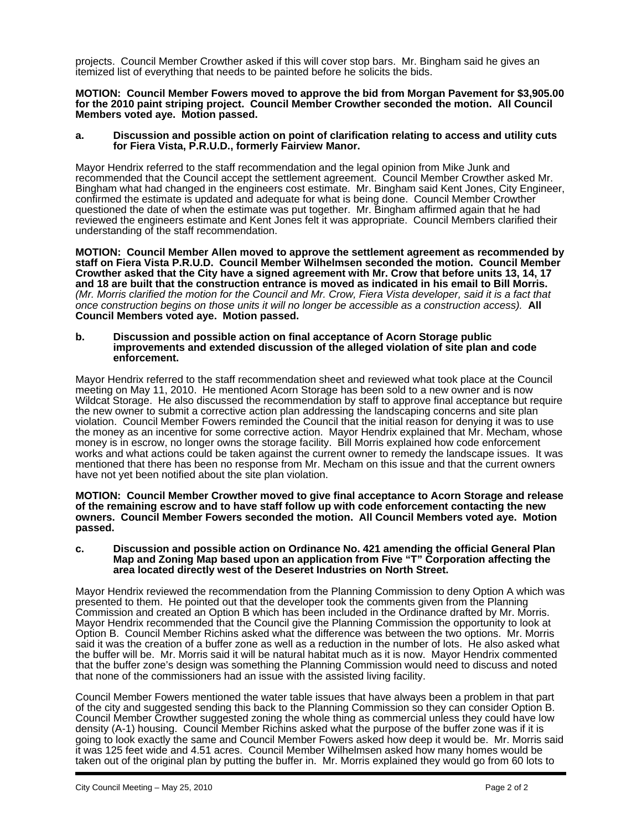projects. Council Member Crowther asked if this will cover stop bars. Mr. Bingham said he gives an itemized list of everything that needs to be painted before he solicits the bids.

**MOTION: Council Member Fowers moved to approve the bid from Morgan Pavement for \$3,905.00 for the 2010 paint striping project. Council Member Crowther seconded the motion. All Council Members voted aye. Motion passed.** 

### **a. Discussion and possible action on point of clarification relating to access and utility cuts for Fiera Vista, P.R.U.D., formerly Fairview Manor.**

Mayor Hendrix referred to the staff recommendation and the legal opinion from Mike Junk and recommended that the Council accept the settlement agreement. Council Member Crowther asked Mr. Bingham what had changed in the engineers cost estimate. Mr. Bingham said Kent Jones, City Engineer, confirmed the estimate is updated and adequate for what is being done. Council Member Crowther questioned the date of when the estimate was put together. Mr. Bingham affirmed again that he had reviewed the engineers estimate and Kent Jones felt it was appropriate. Council Members clarified their understanding of the staff recommendation.

**MOTION: Council Member Allen moved to approve the settlement agreement as recommended by staff on Fiera Vista P.R.U.D. Council Member Wilhelmsen seconded the motion. Council Member Crowther asked that the City have a signed agreement with Mr. Crow that before units 13, 14, 17 and 18 are built that the construction entrance is moved as indicated in his email to Bill Morris.**  *(Mr. Morris clarified the motion for the Council and Mr. Crow, Fiera Vista developer, said it is a fact that once construction begins on those units it will no longer be accessible as a construction access).* **All Council Members voted aye. Motion passed.** 

#### **b. Discussion and possible action on final acceptance of Acorn Storage public improvements and extended discussion of the alleged violation of site plan and code enforcement.**

Mayor Hendrix referred to the staff recommendation sheet and reviewed what took place at the Council meeting on May 11, 2010. He mentioned Acorn Storage has been sold to a new owner and is now Wildcat Storage. He also discussed the recommendation by staff to approve final acceptance but require the new owner to submit a corrective action plan addressing the landscaping concerns and site plan violation. Council Member Fowers reminded the Council that the initial reason for denying it was to use the money as an incentive for some corrective action. Mayor Hendrix explained that Mr. Mecham, whose money is in escrow, no longer owns the storage facility. Bill Morris explained how code enforcement works and what actions could be taken against the current owner to remedy the landscape issues. It was mentioned that there has been no response from Mr. Mecham on this issue and that the current owners have not yet been notified about the site plan violation.

**MOTION: Council Member Crowther moved to give final acceptance to Acorn Storage and release of the remaining escrow and to have staff follow up with code enforcement contacting the new owners. Council Member Fowers seconded the motion. All Council Members voted aye. Motion passed.** 

### **c. Discussion and possible action on Ordinance No. 421 amending the official General Plan Map and Zoning Map based upon an application from Five "T" Corporation affecting the area located directly west of the Deseret Industries on North Street.**

Mayor Hendrix reviewed the recommendation from the Planning Commission to deny Option A which was presented to them. He pointed out that the developer took the comments given from the Planning Commission and created an Option B which has been included in the Ordinance drafted by Mr. Morris. Mayor Hendrix recommended that the Council give the Planning Commission the opportunity to look at Option B. Council Member Richins asked what the difference was between the two options. Mr. Morris said it was the creation of a buffer zone as well as a reduction in the number of lots. He also asked what the buffer will be. Mr. Morris said it will be natural habitat much as it is now. Mayor Hendrix commented that the buffer zone's design was something the Planning Commission would need to discuss and noted that none of the commissioners had an issue with the assisted living facility.

Council Member Fowers mentioned the water table issues that have always been a problem in that part of the city and suggested sending this back to the Planning Commission so they can consider Option B. Council Member Crowther suggested zoning the whole thing as commercial unless they could have low density (A-1) housing. Council Member Richins asked what the purpose of the buffer zone was if it is going to look exactly the same and Council Member Fowers asked how deep it would be. Mr. Morris said it was 125 feet wide and 4.51 acres. Council Member Wilhelmsen asked how many homes would be taken out of the original plan by putting the buffer in. Mr. Morris explained they would go from 60 lots to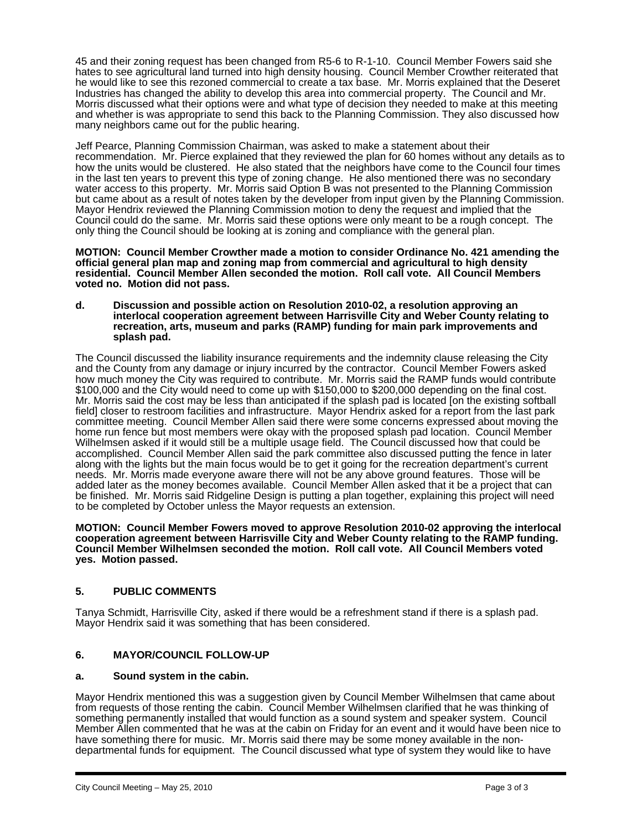45 and their zoning request has been changed from R5-6 to R-1-10. Council Member Fowers said she hates to see agricultural land turned into high density housing. Council Member Crowther reiterated that he would like to see this rezoned commercial to create a tax base. Mr. Morris explained that the Deseret Industries has changed the ability to develop this area into commercial property. The Council and Mr. Morris discussed what their options were and what type of decision they needed to make at this meeting and whether is was appropriate to send this back to the Planning Commission. They also discussed how many neighbors came out for the public hearing.

Jeff Pearce, Planning Commission Chairman, was asked to make a statement about their recommendation. Mr. Pierce explained that they reviewed the plan for 60 homes without any details as to how the units would be clustered. He also stated that the neighbors have come to the Council four times in the last ten years to prevent this type of zoning change. He also mentioned there was no secondary water access to this property. Mr. Morris said Option B was not presented to the Planning Commission but came about as a result of notes taken by the developer from input given by the Planning Commission. Mayor Hendrix reviewed the Planning Commission motion to deny the request and implied that the Council could do the same. Mr. Morris said these options were only meant to be a rough concept. The only thing the Council should be looking at is zoning and compliance with the general plan.

**MOTION: Council Member Crowther made a motion to consider Ordinance No. 421 amending the official general plan map and zoning map from commercial and agricultural to high density residential. Council Member Allen seconded the motion. Roll call vote. All Council Members voted no. Motion did not pass.** 

**d. Discussion and possible action on Resolution 2010-02, a resolution approving an interlocal cooperation agreement between Harrisville City and Weber County relating to recreation, arts, museum and parks (RAMP) funding for main park improvements and splash pad.** 

The Council discussed the liability insurance requirements and the indemnity clause releasing the City and the County from any damage or injury incurred by the contractor. Council Member Fowers asked how much money the City was required to contribute. Mr. Morris said the RAMP funds would contribute \$100,000 and the City would need to come up with \$150,000 to \$200,000 depending on the final cost. Mr. Morris said the cost may be less than anticipated if the splash pad is located [on the existing softball field] closer to restroom facilities and infrastructure. Mayor Hendrix asked for a report from the last park committee meeting. Council Member Allen said there were some concerns expressed about moving the home run fence but most members were okay with the proposed splash pad location. Council Member Wilhelmsen asked if it would still be a multiple usage field. The Council discussed how that could be accomplished. Council Member Allen said the park committee also discussed putting the fence in later along with the lights but the main focus would be to get it going for the recreation department's current needs. Mr. Morris made everyone aware there will not be any above ground features. Those will be added later as the money becomes available. Council Member Allen asked that it be a project that can be finished. Mr. Morris said Ridgeline Design is putting a plan together, explaining this project will need to be completed by October unless the Mayor requests an extension.

**MOTION: Council Member Fowers moved to approve Resolution 2010-02 approving the interlocal cooperation agreement between Harrisville City and Weber County relating to the RAMP funding. Council Member Wilhelmsen seconded the motion. Roll call vote. All Council Members voted yes. Motion passed.** 

# **5. PUBLIC COMMENTS**

Tanya Schmidt, Harrisville City, asked if there would be a refreshment stand if there is a splash pad. Mayor Hendrix said it was something that has been considered.

# **6. MAYOR/COUNCIL FOLLOW-UP**

### **a. Sound system in the cabin.**

Mayor Hendrix mentioned this was a suggestion given by Council Member Wilhelmsen that came about from requests of those renting the cabin. Council Member Wilhelmsen clarified that he was thinking of something permanently installed that would function as a sound system and speaker system. Council Member Allen commented that he was at the cabin on Friday for an event and it would have been nice to have something there for music. Mr. Morris said there may be some money available in the nondepartmental funds for equipment. The Council discussed what type of system they would like to have

i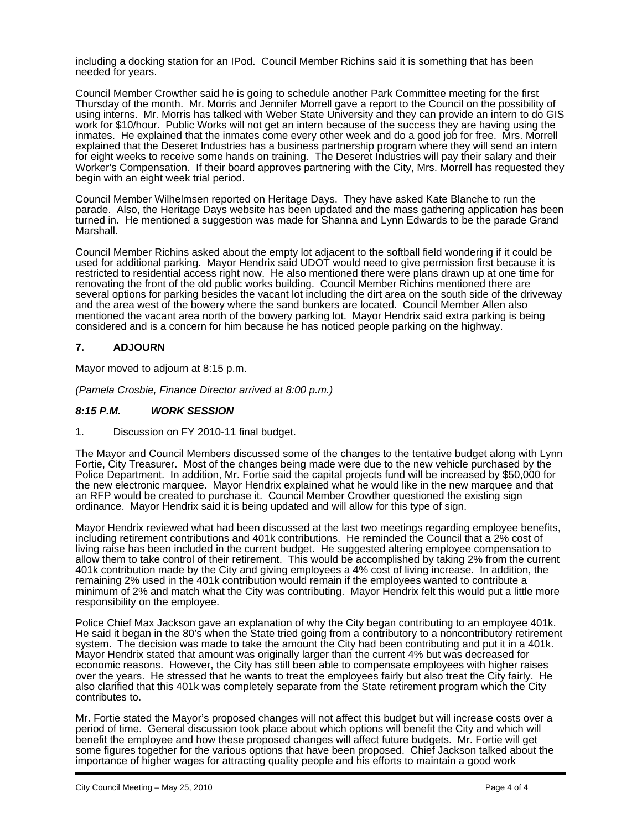including a docking station for an IPod. Council Member Richins said it is something that has been needed for years.

Council Member Crowther said he is going to schedule another Park Committee meeting for the first Thursday of the month. Mr. Morris and Jennifer Morrell gave a report to the Council on the possibility of using interns. Mr. Morris has talked with Weber State University and they can provide an intern to do GIS work for \$10/hour. Public Works will not get an intern because of the success they are having using the inmates. He explained that the inmates come every other week and do a good job for free. Mrs. Morrell explained that the Deseret Industries has a business partnership program where they will send an intern for eight weeks to receive some hands on training. The Deseret Industries will pay their salary and their Worker's Compensation. If their board approves partnering with the City, Mrs. Morrell has requested they begin with an eight week trial period.

Council Member Wilhelmsen reported on Heritage Days. They have asked Kate Blanche to run the parade. Also, the Heritage Days website has been updated and the mass gathering application has been turned in. He mentioned a suggestion was made for Shanna and Lynn Edwards to be the parade Grand Marshall.

Council Member Richins asked about the empty lot adjacent to the softball field wondering if it could be used for additional parking. Mayor Hendrix said UDOT would need to give permission first because it is restricted to residential access right now. He also mentioned there were plans drawn up at one time for renovating the front of the old public works building. Council Member Richins mentioned there are several options for parking besides the vacant lot including the dirt area on the south side of the driveway and the area west of the bowery where the sand bunkers are located. Council Member Allen also mentioned the vacant area north of the bowery parking lot. Mayor Hendrix said extra parking is being considered and is a concern for him because he has noticed people parking on the highway.

# **7. ADJOURN**

Mayor moved to adjourn at 8:15 p.m.

*(Pamela Crosbie, Finance Director arrived at 8:00 p.m.)* 

## *8:15 P.M. WORK SESSION*

1. Discussion on FY 2010-11 final budget.

The Mayor and Council Members discussed some of the changes to the tentative budget along with Lynn Fortie, City Treasurer. Most of the changes being made were due to the new vehicle purchased by the Police Department. In addition, Mr. Fortie said the capital projects fund will be increased by \$50,000 for the new electronic marquee. Mayor Hendrix explained what he would like in the new marquee and that an RFP would be created to purchase it. Council Member Crowther questioned the existing sign ordinance. Mayor Hendrix said it is being updated and will allow for this type of sign.

Mayor Hendrix reviewed what had been discussed at the last two meetings regarding employee benefits, including retirement contributions and 401k contributions. He reminded the Council that a 2% cost of living raise has been included in the current budget. He suggested altering employee compensation to allow them to take control of their retirement. This would be accomplished by taking 2% from the current 401k contribution made by the City and giving employees a 4% cost of living increase. In addition, the remaining 2% used in the 401k contribution would remain if the employees wanted to contribute a minimum of 2% and match what the City was contributing. Mayor Hendrix felt this would put a little more responsibility on the employee.

Police Chief Max Jackson gave an explanation of why the City began contributing to an employee 401k. He said it began in the 80's when the State tried going from a contributory to a noncontributory retirement system. The decision was made to take the amount the City had been contributing and put it in a 401k. Mayor Hendrix stated that amount was originally larger than the current 4% but was decreased for economic reasons. However, the City has still been able to compensate employees with higher raises over the years. He stressed that he wants to treat the employees fairly but also treat the City fairly. He also clarified that this 401k was completely separate from the State retirement program which the City contributes to.

Mr. Fortie stated the Mayor's proposed changes will not affect this budget but will increase costs over a period of time. General discussion took place about which options will benefit the City and which will benefit the employee and how these proposed changes will affect future budgets. Mr. Fortie will get some figures together for the various options that have been proposed. Chief Jackson talked about the importance of higher wages for attracting quality people and his efforts to maintain a good work

i